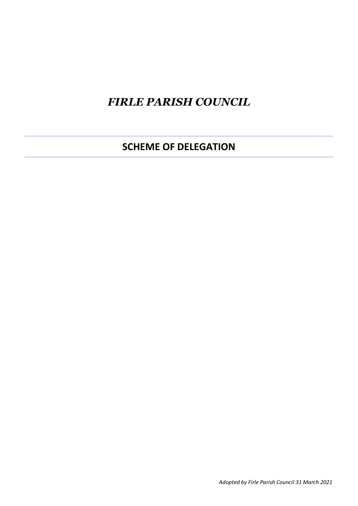## *FIRLE PARISH COUNCIL*

**SCHEME OF DELEGATION**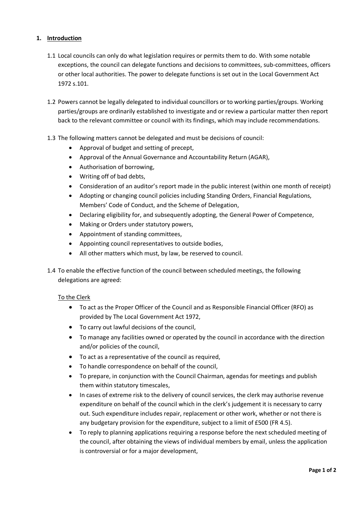## **1. Introduction**

- 1.1 Local councils can only do what legislation requires or permits them to do. With some notable exceptions, the council can delegate functions and decisions to committees, sub-committees, officers or other local authorities. The power to delegate functions is set out in the Local Government Act 1972 s.101.
- 1.2 Powers cannot be legally delegated to individual councillors or to working parties/groups. Working parties/groups are ordinarily established to investigate and or review a particular matter then report back to the relevant committee or council with its findings, which may include recommendations.
- 1.3 The following matters cannot be delegated and must be decisions of council:
	- Approval of budget and setting of precept,
	- Approval of the Annual Governance and Accountability Return (AGAR),
	- Authorisation of borrowing,
	- Writing off of bad debts,
	- Consideration of an auditor's report made in the public interest (within one month of receipt)
	- Adopting or changing council policies including Standing Orders, Financial Regulations, Members' Code of Conduct, and the Scheme of Delegation,
	- Declaring eligibility for, and subsequently adopting, the General Power of Competence,
	- Making or Orders under statutory powers,
	- Appointment of standing committees,
	- Appointing council representatives to outside bodies,
	- All other matters which must, by law, be reserved to council.
- 1.4 To enable the effective function of the council between scheduled meetings, the following delegations are agreed:

## To the Clerk

- To act as the Proper Officer of the Council and as Responsible Financial Officer (RFO) as provided by The Local Government Act 1972,
- To carry out lawful decisions of the council,
- To manage any facilities owned or operated by the council in accordance with the direction and/or policies of the council,
- To act as a representative of the council as required,
- To handle correspondence on behalf of the council,
- To prepare, in conjunction with the Council Chairman, agendas for meetings and publish them within statutory timescales,
- In cases of extreme risk to the delivery of council services, the clerk may authorise revenue expenditure on behalf of the council which in the clerk's judgement it is necessary to carry out. Such expenditure includes repair, replacement or other work, whether or not there is any budgetary provision for the expenditure, subject to a limit of £500 (FR 4.5).
- To reply to planning applications requiring a response before the next scheduled meeting of the council, after obtaining the views of individual members by email, unless the application is controversial or for a major development,